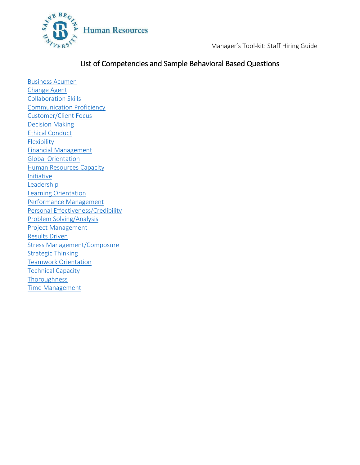

# List of Competencies and Sample Behavioral Based Questions

 [Business Acumen](#page-1-0) [Change Agent](#page-2-0) [Collaboration Skills](#page-3-0) [Communication Proficiency](#page-4-0) [Customer/Client Focus](#page-5-0) [Decision Making](#page-6-0) [Ethical Conduct](#page-7-0) **[Flexibility](#page-8-0)**  [Financial Management](#page-8-1) [Global Orientation](#page-10-0) [Human Resources Capacity](#page-11-0) [Initiative](#page-13-0) [Leadership](#page-14-0) [Learning Orientation](#page-15-0) [Performance Management](#page-16-0) [Personal Effectiveness/Credibility](#page-17-0) [Problem Solving/Analysis](#page-18-0) [Project Management](#page-19-0) [Results Driven](#page-20-0) [Stress Management/Composure](#page-21-0) **[Strategic Thinking](#page-22-0)**  [Teamwork Orientation](#page-23-0) [Technical Capacity](#page-24-0) **[Thoroughness](#page-25-0)** [Time Management](#page-26-0)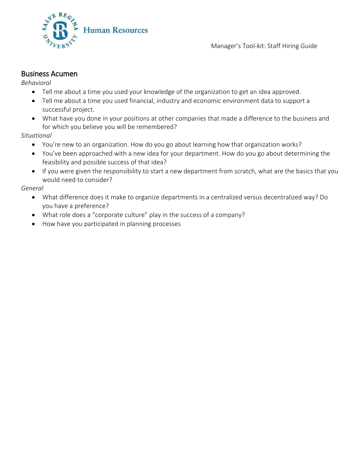

#### <span id="page-1-0"></span>Business Acumen

*Behavioral*

- Tell me about a time you used your knowledge of the organization to get an idea approved.
- Tell me about a time you used financial, industry and economic environment data to support a successful project.
- What have you done in your positions at other companies that made a difference to the business and for which you believe you will be remembered?

*Situational*

- You're new to an organization. How do you go about learning how that organization works?
- You've been approached with a new idea for your department. How do you go about determining the feasibility and possible success of that idea?
- If you were given the responsibility to start a new department from scratch, what are the basics that you would need to consider?

- What difference does it make to organize departments in a centralized versus decentralized way? Do you have a preference?
- What role does a "corporate culture" play in the success of a company?
- How have you participated in planning processes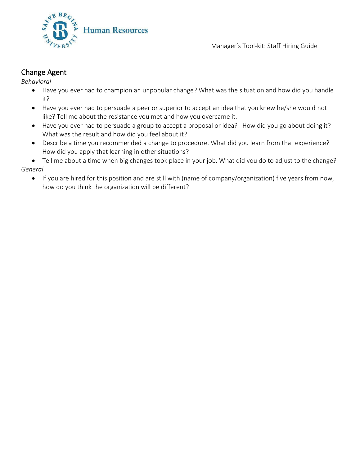

# <span id="page-2-0"></span>Change Agent

*Behavioral*

- Have you ever had to champion an unpopular change? What was the situation and how did you handle it?
- Have you ever had to persuade a peer or superior to accept an idea that you knew he/she would not like? Tell me about the resistance you met and how you overcame it.
- Have you ever had to persuade a group to accept a proposal or idea? How did you go about doing it? What was the result and how did you feel about it?
- Describe a time you recommended a change to procedure. What did you learn from that experience? How did you apply that learning in other situations?
- Tell me about a time when big changes took place in your job. What did you do to adjust to the change? *General*
	- If you are hired for this position and are still with (name of company/organization) five years from now, how do you think the organization will be different?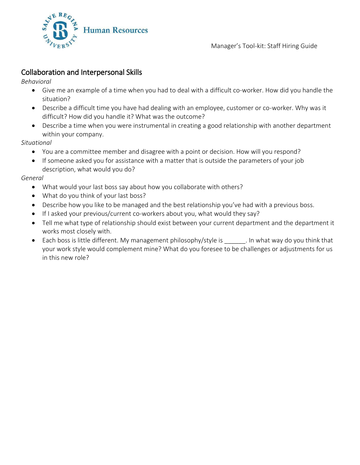

## <span id="page-3-0"></span>Collaboration and Interpersonal Skills

*Behavioral*

- Give me an example of a time when you had to deal with a difficult co-worker. How did you handle the situation?
- Describe a difficult time you have had dealing with an employee, customer or co-worker. Why was it difficult? How did you handle it? What was the outcome?
- Describe a time when you were instrumental in creating a good relationship with another department within your company.

*Situational*

- You are a committee member and disagree with a point or decision. How will you respond?
- If someone asked you for assistance with a matter that is outside the parameters of your job description, what would you do?

- What would your last boss say about how you collaborate with others?
- What do you think of your last boss?
- Describe how you like to be managed and the best relationship you've had with a previous boss.
- If I asked your previous/current co-workers about you, what would they say?
- Tell me what type of relationship should exist between your current department and the department it works most closely with.
- Each boss is little different. My management philosophy/style is [11] In what way do you think that your work style would complement mine? What do you foresee to be challenges or adjustments for us in this new role?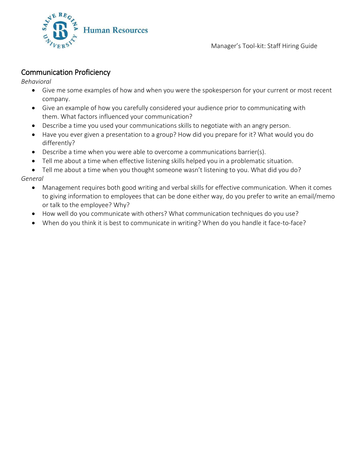

### <span id="page-4-0"></span>Communication Proficiency

*Behavioral*

- Give me some examples of how and when you were the spokesperson for your current or most recent company.
- Give an example of how you carefully considered your audience prior to communicating with them. What factors influenced your communication?
- Describe a time you used your communications skills to negotiate with an angry person.
- Have you ever given a presentation to a group? How did you prepare for it? What would you do differently?
- Describe a time when you were able to overcome a communications barrier(s).
- Tell me about a time when effective listening skills helped you in a problematic situation.
- Tell me about a time when you thought someone wasn't listening to you. What did you do?

- Management requires both good writing and verbal skills for effective communication. When it comes to giving information to employees that can be done either way, do you prefer to write an email/memo or talk to the employee? Why?
- How well do you communicate with others? What communication techniques do you use?
- When do you think it is best to communicate in writing? When do you handle it face-to-face?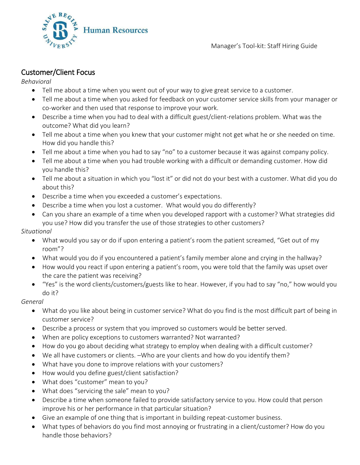## <span id="page-5-0"></span>Customer/Client Focus

*Behavioral*

- Tell me about a time when you went out of your way to give great service to a customer.
- Tell me about a time when you asked for feedback on your customer service skills from your manager or co-worker and then used that response to improve your work.
- Describe a time when you had to deal with a difficult guest/client-relations problem. What was the outcome? What did you learn?
- Tell me about a time when you knew that your customer might not get what he or she needed on time. How did you handle this?
- Tell me about a time when you had to say "no" to a customer because it was against company policy.
- Tell me about a time when you had trouble working with a difficult or demanding customer. How did you handle this?
- Tell me about a situation in which you "lost it" or did not do your best with a customer. What did you do about this?
- Describe a time when you exceeded a customer's expectations.
- Describe a time when you lost a customer. What would you do differently?
- Can you share an example of a time when you developed rapport with a customer? What strategies did you use? How did you transfer the use of those strategies to other customers?

#### *Situational*

- What would you say or do if upon entering a patient's room the patient screamed, "Get out of my room"?
- What would you do if you encountered a patient's family member alone and crying in the hallway?
- How would you react if upon entering a patient's room, you were told that the family was upset over the care the patient was receiving?
- "Yes" is the word clients/customers/guests like to hear. However, if you had to say "no," how would you do it?

- What do you like about being in customer service? What do you find is the most difficult part of being in customer service?
- Describe a process or system that you improved so customers would be better served.
- When are policy exceptions to customers warranted? Not warranted?
- How do you go about deciding what strategy to employ when dealing with a difficult customer?
- We all have customers or clients. –Who are your clients and how do you identify them?
- What have you done to improve relations with your customers?
- How would you define guest/client satisfaction?
- What does "customer" mean to you?
- What does "servicing the sale" mean to you?
- Describe a time when someone failed to provide satisfactory service to you. How could that person improve his or her performance in that particular situation?
- Give an example of one thing that is important in building repeat-customer business.
- What types of behaviors do you find most annoying or frustrating in a client/customer? How do you handle those behaviors?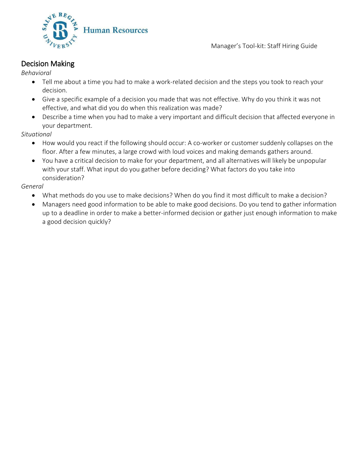

### <span id="page-6-0"></span>Decision Making

*Behavioral*

- Tell me about a time you had to make a work-related decision and the steps you took to reach your decision.
- Give a specific example of a decision you made that was not effective. Why do you think it was not effective, and what did you do when this realization was made?
- Describe a time when you had to make a very important and difficult decision that affected everyone in your department.

*Situational*

- How would you react if the following should occur: A co-worker or customer suddenly collapses on the floor. After a few minutes, a large crowd with loud voices and making demands gathers around.
- You have a critical decision to make for your department, and all alternatives will likely be unpopular with your staff. What input do you gather before deciding? What factors do you take into consideration?

- What methods do you use to make decisions? When do you find it most difficult to make a decision?
- Managers need good information to be able to make good decisions. Do you tend to gather information up to a deadline in order to make a better-informed decision or gather just enough information to make a good decision quickly?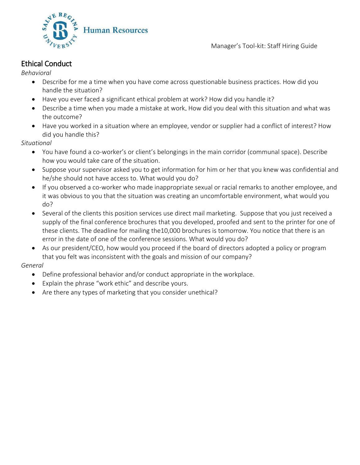

## <span id="page-7-0"></span>Ethical Conduct

*Behavioral*

- Describe for me a time when you have come across questionable business practices. How did you handle the situation?
- Have you ever faced a significant ethical problem at work? How did you handle it?
- Describe a time when you made a mistake at work. How did you deal with this situation and what was the outcome?
- Have you worked in a situation where an employee, vendor or supplier had a conflict of interest? How did you handle this?

*Situational*

- You have found a co-worker's or client's belongings in the main corridor (communal space). Describe how you would take care of the situation.
- Suppose your supervisor asked you to get information for him or her that you knew was confidential and he/she should not have access to. What would you do?
- If you observed a co-worker who made inappropriate sexual or racial remarks to another employee, and it was obvious to you that the situation was creating an uncomfortable environment, what would you do?
- Several of the clients this position services use direct mail marketing. Suppose that you just received a supply of the final conference brochures that you developed, proofed and sent to the printer for one of these clients. The deadline for mailing the10,000 brochures is tomorrow. You notice that there is an error in the date of one of the conference sessions. What would you do?
- As our president/CEO, how would you proceed if the board of directors adopted a policy or program that you felt was inconsistent with the goals and mission of our company?

- Define professional behavior and/or conduct appropriate in the workplace.
- Explain the phrase "work ethic" and describe yours.
- Are there any types of marketing that you consider unethical?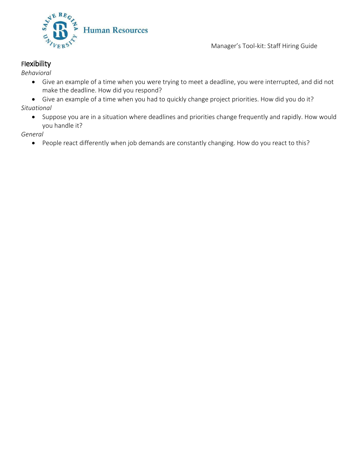

# <span id="page-8-0"></span>Flexibility

*Behavioral*

- Give an example of a time when you were trying to meet a deadline, you were interrupted, and did not make the deadline. How did you respond?
- Give an example of a time when you had to quickly change project priorities. How did you do it? *Situational*
	- Suppose you are in a situation where deadlines and priorities change frequently and rapidly. How would you handle it?

*General*

<span id="page-8-1"></span>People react differently when job demands are constantly changing. How do you react to this?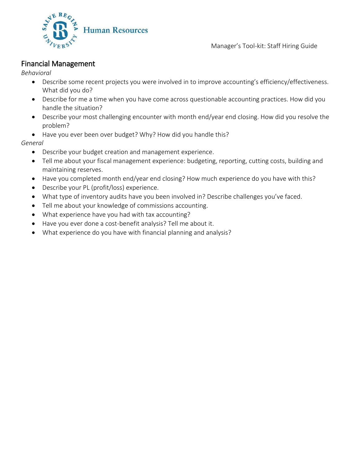

### Financial Management

*Behavioral*

- Describe some recent projects you were involved in to improve accounting's efficiency/effectiveness. What did you do?
- Describe for me a time when you have come across questionable accounting practices. How did you handle the situation?
- Describe your most challenging encounter with month end/year end closing. How did you resolve the problem?
- Have you ever been over budget? Why? How did you handle this?

- Describe your budget creation and management experience.
- Tell me about your fiscal management experience: budgeting, reporting, cutting costs, building and maintaining reserves.
- Have you completed month end/year end closing? How much experience do you have with this?
- Describe your PL (profit/loss) experience.
- What type of inventory audits have you been involved in? Describe challenges you've faced.
- Tell me about your knowledge of commissions accounting.
- What experience have you had with tax accounting?
- Have you ever done a cost-benefit analysis? Tell me about it.
- What experience do you have with financial planning and analysis?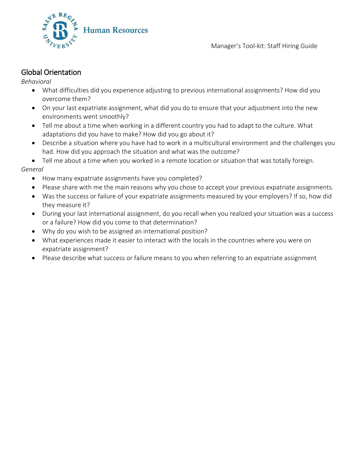## <span id="page-10-0"></span>Global Orientation

*Behavioral*

- What difficulties did you experience adjusting to previous international assignments? How did you overcome them?
- On your last expatriate assignment, what did you do to ensure that your adjustment into the new environments went smoothly?
- Tell me about a time when working in a different country you had to adapt to the culture. What adaptations did you have to make? How did you go about it?
- Describe a situation where you have had to work in a multicultural environment and the challenges you had. How did you approach the situation and what was the outcome?
- Tell me about a time when you worked in a remote location or situation that was totally foreign.

- How many expatriate assignments have you completed?
- Please share with me the main reasons why you chose to accept your previous expatriate assignments.
- Was the success or failure of your expatriate assignments measured by your employers? If so, how did they measure it?
- During your last international assignment, do you recall when you realized your situation was a success or a failure? How did you come to that determination?
- Why do you wish to be assigned an international position?
- What experiences made it easier to interact with the locals in the countries where you were on expatriate assignment?
- Please describe what success or failure means to you when referring to an expatriate assignment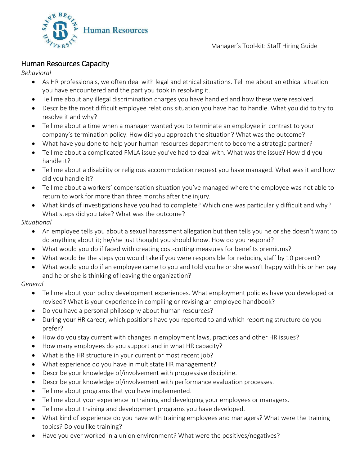

### <span id="page-11-0"></span>Human Resources Capacity

*Behavioral*

- As HR professionals, we often deal with legal and ethical situations. Tell me about an ethical situation you have encountered and the part you took in resolving it.
- Tell me about any illegal discrimination charges you have handled and how these were resolved.
- Describe the most difficult employee relations situation you have had to handle. What you did to try to resolve it and why?
- Tell me about a time when a manager wanted you to terminate an employee in contrast to your company's termination policy. How did you approach the situation? What was the outcome?
- What have you done to help your human resources department to become a strategic partner?
- Tell me about a complicated FMLA issue you've had to deal with. What was the issue? How did you handle it?
- Tell me about a disability or religious accommodation request you have managed. What was it and how did you handle it?
- Tell me about a workers' compensation situation you've managed where the employee was not able to return to work for more than three months after the injury.
- What kinds of investigations have you had to complete? Which one was particularly difficult and why? What steps did you take? What was the outcome?

*Situational*

- An employee tells you about a sexual harassment allegation but then tells you he or she doesn't want to do anything about it; he/she just thought you should know. How do you respond?
- What would you do if faced with creating cost-cutting measures for benefits premiums?
- What would be the steps you would take if you were responsible for reducing staff by 10 percent?
- What would you do if an employee came to you and told you he or she wasn't happy with his or her pay and he or she is thinking of leaving the organization?

- Tell me about your policy development experiences. What employment policies have you developed or revised? What is your experience in compiling or revising an employee handbook?
- Do you have a personal philosophy about human resources?
- During your HR career, which positions have you reported to and which reporting structure do you prefer?
- How do you stay current with changes in employment laws, practices and other HR issues?
- How many employees do you support and in what HR capacity?
- What is the HR structure in your current or most recent job?
- What experience do you have in multistate HR management?
- Describe your knowledge of/involvement with progressive discipline.
- Describe your knowledge of/involvement with performance evaluation processes.
- Tell me about programs that you have implemented.
- Tell me about your experience in training and developing your employees or managers.
- Tell me about training and development programs you have developed.
- What kind of experience do you have with training employees and managers? What were the training topics? Do you like training?
- Have you ever worked in a union environment? What were the positives/negatives?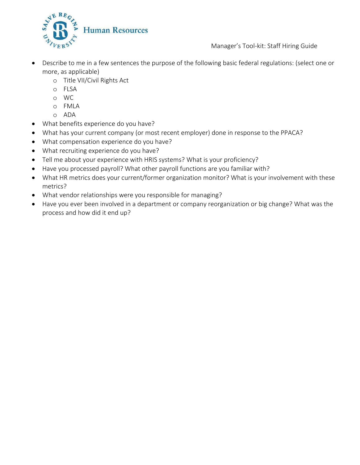

- Describe to me in a few sentences the purpose of the following basic federal regulations: (select one or more, as applicable)
	- o Title VII/Civil Rights Act
	- o FLSA
	- o WC
	- o FMLA
	- o ADA
- What benefits experience do you have?
- What has your current company (or most recent employer) done in response to the PPACA?
- What compensation experience do you have?
- What recruiting experience do you have?
- Tell me about your experience with HRIS systems? What is your proficiency?
- Have you processed payroll? What other payroll functions are you familiar with?
- What HR metrics does your current/former organization monitor? What is your involvement with these metrics?
- What vendor relationships were you responsible for managing?
- Have you ever been involved in a department or company reorganization or big change? What was the process and how did it end up?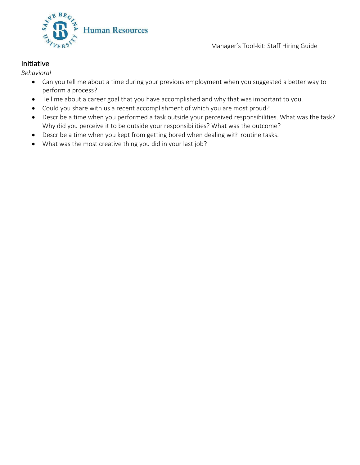

### <span id="page-13-0"></span>Initiative

*Behavioral*

- Can you tell me about a time during your previous employment when you suggested a better way to perform a process?
- Tell me about a career goal that you have accomplished and why that was important to you.
- Could you share with us a recent accomplishment of which you are most proud?
- Describe a time when you performed a task outside your perceived responsibilities. What was the task? Why did you perceive it to be outside your responsibilities? What was the outcome?
- Describe a time when you kept from getting bored when dealing with routine tasks.
- What was the most creative thing you did in your last job?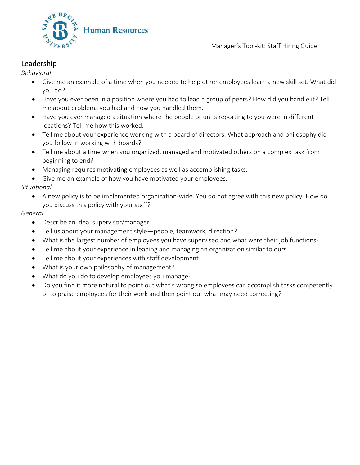

### <span id="page-14-0"></span>Leadership

*Behavioral*

- Give me an example of a time when you needed to help other employees learn a new skill set. What did you do?
- Have you ever been in a position where you had to lead a group of peers? How did you handle it? Tell me about problems you had and how you handled them.
- Have you ever managed a situation where the people or units reporting to you were in different locations? Tell me how this worked.
- Tell me about your experience working with a board of directors. What approach and philosophy did you follow in working with boards?
- Tell me about a time when you organized, managed and motivated others on a complex task from beginning to end?
- Managing requires motivating employees as well as accomplishing tasks.
- Give me an example of how you have motivated your employees.

#### *Situational*

 A new policy is to be implemented organization-wide. You do not agree with this new policy. How do you discuss this policy with your staff?

- Describe an ideal supervisor/manager.
- Tell us about your management style—people, teamwork, direction?
- What is the largest number of employees you have supervised and what were their job functions?
- Tell me about your experience in leading and managing an organization similar to ours.
- Tell me about your experiences with staff development.
- What is your own philosophy of management?
- What do you do to develop employees you manage?
- Do you find it more natural to point out what's wrong so employees can accomplish tasks competently or to praise employees for their work and then point out what may need correcting?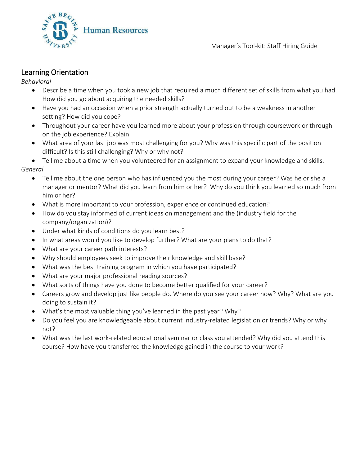

## <span id="page-15-0"></span>Learning Orientation

*Behavioral*

- Describe a time when you took a new job that required a much different set of skills from what you had. How did you go about acquiring the needed skills?
- Have you had an occasion when a prior strength actually turned out to be a weakness in another setting? How did you cope?
- Throughout your career have you learned more about your profession through coursework or through on the job experience? Explain.
- What area of your last job was most challenging for you? Why was this specific part of the position difficult? Is this still challenging? Why or why not?

 Tell me about a time when you volunteered for an assignment to expand your knowledge and skills. *General*

- Tell me about the one person who has influenced you the most during your career? Was he or she a manager or mentor? What did you learn from him or her? Why do you think you learned so much from him or her?
- What is more important to your profession, experience or continued education?
- How do you stay informed of current ideas on management and the (industry field for the company/organization)?
- Under what kinds of conditions do you learn best?
- In what areas would you like to develop further? What are your plans to do that?
- What are your career path interests?
- Why should employees seek to improve their knowledge and skill base?
- What was the best training program in which you have participated?
- What are your major professional reading sources?
- What sorts of things have you done to become better qualified for your career?
- Careers grow and develop just like people do. Where do you see your career now? Why? What are you doing to sustain it?
- What's the most valuable thing you've learned in the past year? Why?
- Do you feel you are knowledgeable about current industry-related legislation or trends? Why or why not?
- What was the last work-related educational seminar or class you attended? Why did you attend this course? How have you transferred the knowledge gained in the course to your work?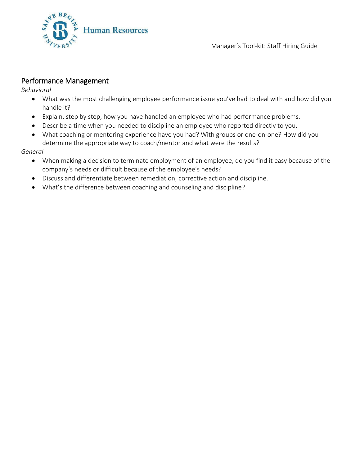

### <span id="page-16-0"></span>Performance Management

*Behavioral*

- What was the most challenging employee performance issue you've had to deal with and how did you handle it?
- Explain, step by step, how you have handled an employee who had performance problems.
- Describe a time when you needed to discipline an employee who reported directly to you.
- What coaching or mentoring experience have you had? With groups or one-on-one? How did you determine the appropriate way to coach/mentor and what were the results?

- When making a decision to terminate employment of an employee, do you find it easy because of the company's needs or difficult because of the employee's needs?
- Discuss and differentiate between remediation, corrective action and discipline.
- What's the difference between coaching and counseling and discipline?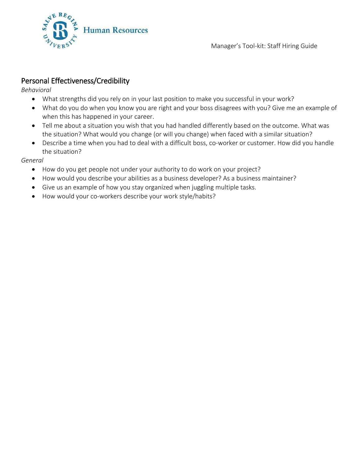

## <span id="page-17-0"></span>Personal Effectiveness/Credibility

*Behavioral*

- What strengths did you rely on in your last position to make you successful in your work?
- What do you do when you know you are right and your boss disagrees with you? Give me an example of when this has happened in your career.
- Tell me about a situation you wish that you had handled differently based on the outcome. What was the situation? What would you change (or will you change) when faced with a similar situation?
- Describe a time when you had to deal with a difficult boss, co-worker or customer. How did you handle the situation?

- How do you get people not under your authority to do work on your project?
- How would you describe your abilities as a business developer? As a business maintainer?
- Give us an example of how you stay organized when juggling multiple tasks.
- How would your co-workers describe your work style/habits?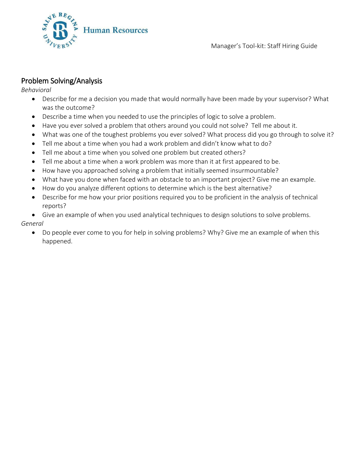

# <span id="page-18-0"></span>Problem Solving/Analysis

*Behavioral*

- Describe for me a decision you made that would normally have been made by your supervisor? What was the outcome?
- Describe a time when you needed to use the principles of logic to solve a problem.
- Have you ever solved a problem that others around you could not solve? Tell me about it.
- What was one of the toughest problems you ever solved? What process did you go through to solve it?
- Tell me about a time when you had a work problem and didn't know what to do?
- Tell me about a time when you solved one problem but created others?
- Tell me about a time when a work problem was more than it at first appeared to be.
- How have you approached solving a problem that initially seemed insurmountable?
- What have you done when faced with an obstacle to an important project? Give me an example.
- How do you analyze different options to determine which is the best alternative?
- Describe for me how your prior positions required you to be proficient in the analysis of technical reports?
- Give an example of when you used analytical techniques to design solutions to solve problems.

#### *General*

 Do people ever come to you for help in solving problems? Why? Give me an example of when this happened.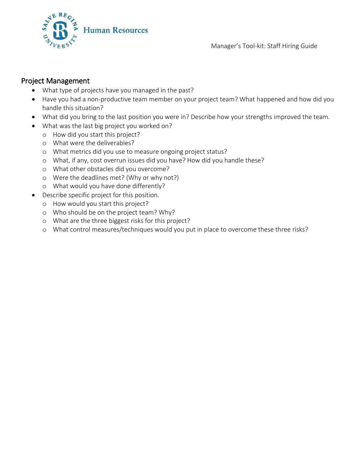

### <span id="page-19-0"></span>Project Management

- What type of projects have you managed in the past?
- Have you had a non-productive team member on your project team? What happened and how did you handle this situation?
- What did you bring to the last position you were in? Describe how your strengths improved the team.
- What was the last big project you worked on?
	- o How did you start this project?
	- o What were the deliverables?
	- o What metrics did you use to measure ongoing project status?
	- o What, if any, cost overrun issues did you have? How did you handle these?
	- o What other obstacles did you overcome?
	- o Were the deadlines met? (Why or why not?)
	- o What would you have done differently?
- Describe specific project for this position.
	- o How would you start this project?
	- o Who should be on the project team? Why?
	- o What are the three biggest risks for this project?
	- o What control measures/techniques would you put in place to overcome these three risks?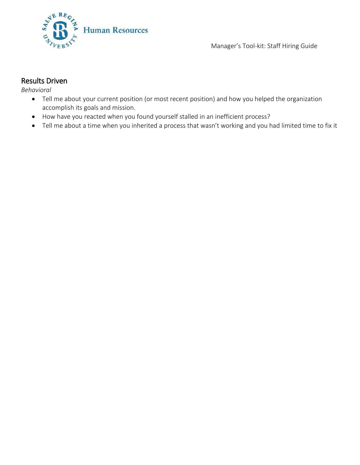

### <span id="page-20-0"></span>Results Driven

*Behavioral*

- Tell me about your current position (or most recent position) and how you helped the organization accomplish its goals and mission.
- How have you reacted when you found yourself stalled in an inefficient process?
- Tell me about a time when you inherited a process that wasn't working and you had limited time to fix it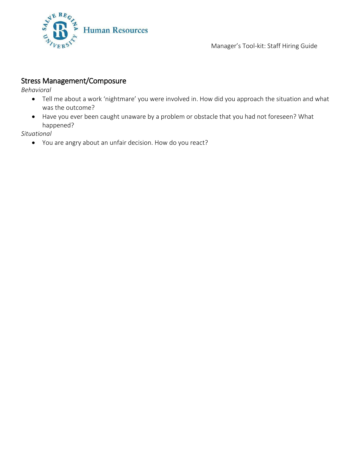

## <span id="page-21-0"></span>Stress Management/Composure

*Behavioral*

- Tell me about a work 'nightmare' you were involved in. How did you approach the situation and what was the outcome?
- Have you ever been caught unaware by a problem or obstacle that you had not foreseen? What happened?

*Situational*

You are angry about an unfair decision. How do you react?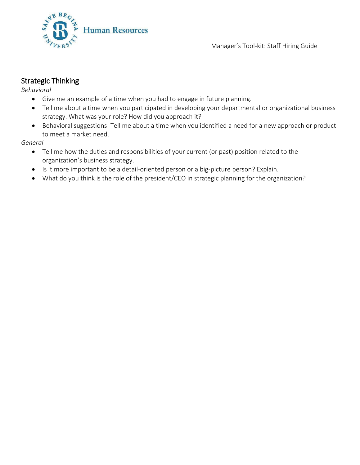

# <span id="page-22-0"></span>Strategic Thinking

*Behavioral*

- Give me an example of a time when you had to engage in future planning.
- Tell me about a time when you participated in developing your departmental or organizational business strategy. What was your role? How did you approach it?
- Behavioral suggestions: Tell me about a time when you identified a need for a new approach or product to meet a market need.

- Tell me how the duties and responsibilities of your current (or past) position related to the organization's business strategy.
- Is it more important to be a detail-oriented person or a big-picture person? Explain.
- What do you think is the role of the president/CEO in strategic planning for the organization?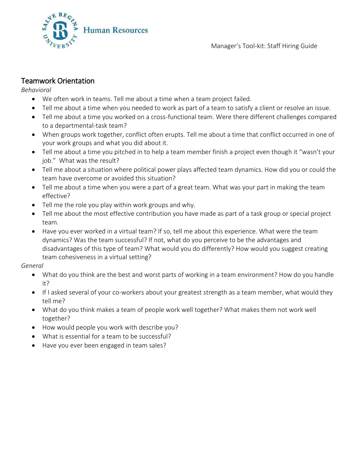

# <span id="page-23-0"></span>Teamwork Orientation

*Behavioral*

- We often work in teams. Tell me about a time when a team project failed.
- Tell me about a time when you needed to work as part of a team to satisfy a client or resolve an issue.
- Tell me about a time you worked on a cross-functional team. Were there different challenges compared to a departmental-task team?
- When groups work together, conflict often erupts. Tell me about a time that conflict occurred in one of your work groups and what you did about it.
- Tell me about a time you pitched in to help a team member finish a project even though it "wasn't your job." What was the result?
- Tell me about a situation where political power plays affected team dynamics. How did you or could the team have overcome or avoided this situation?
- Tell me about a time when you were a part of a great team. What was your part in making the team effective?
- Tell me the role you play within work groups and why.
- Tell me about the most effective contribution you have made as part of a task group or special project team.
- Have you ever worked in a virtual team? If so, tell me about this experience. What were the team dynamics? Was the team successful? If not, what do you perceive to be the advantages and disadvantages of this type of team? What would you do differently? How would you suggest creating team cohesiveness in a virtual setting?

- What do you think are the best and worst parts of working in a team environment? How do you handle it?
- If I asked several of your co-workers about your greatest strength as a team member, what would they tell me?
- What do you think makes a team of people work well together? What makes them not work well together?
- How would people you work with describe you?
- What is essential for a team to be successful?
- Have you ever been engaged in team sales?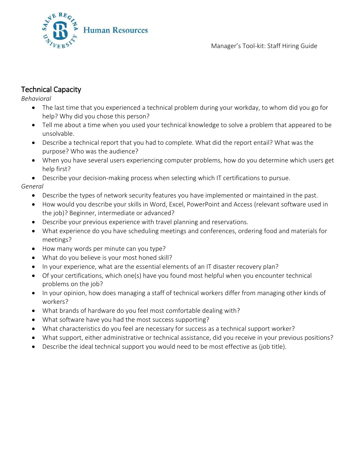# <span id="page-24-0"></span>Technical Capacity

*Behavioral*

- The last time that you experienced a technical problem during your workday, to whom did you go for help? Why did you chose this person?
- Tell me about a time when you used your technical knowledge to solve a problem that appeared to be unsolvable.
- Describe a technical report that you had to complete. What did the report entail? What was the purpose? Who was the audience?
- When you have several users experiencing computer problems, how do you determine which users get help first?
- Describe your decision-making process when selecting which IT certifications to pursue.

- Describe the types of network security features you have implemented or maintained in the past.
- How would you describe your skills in Word, Excel, PowerPoint and Access (relevant software used in the job)? Beginner, intermediate or advanced?
- Describe your previous experience with travel planning and reservations.
- What experience do you have scheduling meetings and conferences, ordering food and materials for meetings?
- How many words per minute can you type?
- What do you believe is your most honed skill?
- In your experience, what are the essential elements of an IT disaster recovery plan?
- Of your certifications, which one(s) have you found most helpful when you encounter technical problems on the job?
- In your opinion, how does managing a staff of technical workers differ from managing other kinds of workers?
- What brands of hardware do you feel most comfortable dealing with?
- What software have you had the most success supporting?
- What characteristics do you feel are necessary for success as a technical support worker?
- What support, either administrative or technical assistance, did you receive in your previous positions?
- Describe the ideal technical support you would need to be most effective as (job title).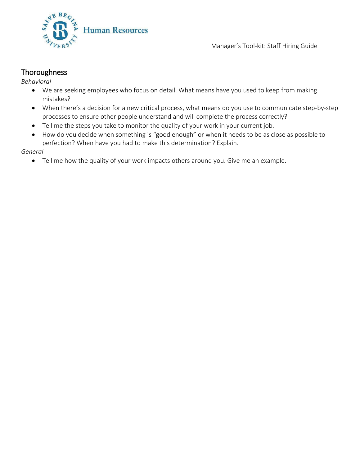

## <span id="page-25-0"></span>**Thoroughness**

*Behavioral*

- We are seeking employees who focus on detail. What means have you used to keep from making mistakes?
- When there's a decision for a new critical process, what means do you use to communicate step-by-step processes to ensure other people understand and will complete the process correctly?
- Tell me the steps you take to monitor the quality of your work in your current job.
- How do you decide when something is "good enough" or when it needs to be as close as possible to perfection? When have you had to make this determination? Explain.

*General*

Tell me how the quality of your work impacts others around you. Give me an example.